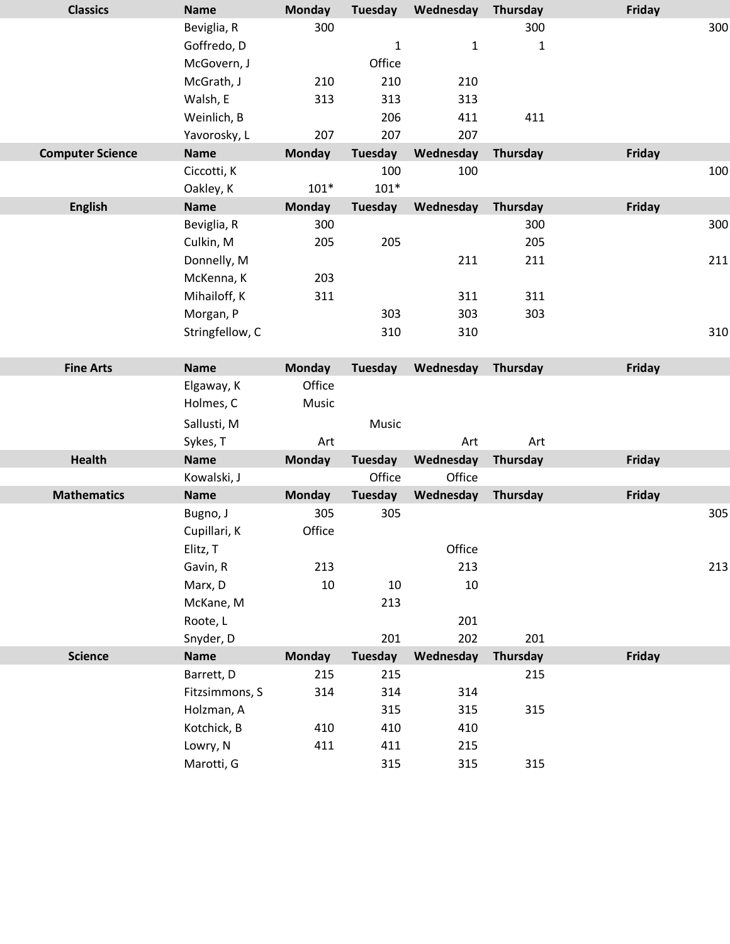| <b>Classics</b>         | <b>Name</b>     | <b>Monday</b> | <b>Tuesday</b> | Wednesday    | Thursday     | Friday        |
|-------------------------|-----------------|---------------|----------------|--------------|--------------|---------------|
|                         | Beviglia, R     | 300           |                |              | 300          | 300           |
|                         | Goffredo, D     |               | $\mathbf{1}$   | $\mathbf{1}$ | $\mathbf{1}$ |               |
|                         | McGovern, J     |               | Office         |              |              |               |
|                         | McGrath, J      | 210           | 210            | 210          |              |               |
|                         | Walsh, E        | 313           | 313            | 313          |              |               |
|                         | Weinlich, B     |               | 206            | 411          | 411          |               |
|                         | Yavorosky, L    | 207           | 207            | 207          |              |               |
| <b>Computer Science</b> | <b>Name</b>     | <b>Monday</b> | <b>Tuesday</b> | Wednesday    | Thursday     | <b>Friday</b> |
|                         | Ciccotti, K     |               | 100            | 100          |              | 100           |
|                         | Oakley, K       | $101*$        | $101*$         |              |              |               |
| <b>English</b>          | <b>Name</b>     | <b>Monday</b> | <b>Tuesday</b> | Wednesday    | Thursday     | <b>Friday</b> |
|                         | Beviglia, R     | 300           |                |              | 300          | 300           |
|                         | Culkin, M       | 205           | 205            |              | 205          |               |
|                         | Donnelly, M     |               |                | 211          | 211          | 211           |
|                         | McKenna, K      | 203           |                |              |              |               |
|                         | Mihailoff, K    | 311           |                | 311          | 311          |               |
|                         | Morgan, P       |               | 303            | 303          | 303          |               |
|                         | Stringfellow, C |               | 310            | 310          |              | 310           |
|                         |                 |               |                |              |              |               |
| <b>Fine Arts</b>        | <b>Name</b>     | <b>Monday</b> | <b>Tuesday</b> | Wednesday    | Thursday     | <b>Friday</b> |
|                         | Elgaway, K      | Office        |                |              |              |               |
|                         | Holmes, C       | Music         |                |              |              |               |
|                         | Sallusti, M     |               | Music          |              |              |               |
|                         | Sykes, T        | Art           |                | Art          | Art          |               |
| <b>Health</b>           | <b>Name</b>     | <b>Monday</b> | <b>Tuesday</b> | Wednesday    | Thursday     | <b>Friday</b> |
|                         | Kowalski, J     |               | Office         | Office       |              |               |
| <b>Mathematics</b>      | <b>Name</b>     | <b>Monday</b> | <b>Tuesday</b> | Wednesday    | Thursday     | <b>Friday</b> |
|                         | Bugno, J        | 305           | 305            |              |              | 305           |
|                         | Cupillari, K    | Office        |                |              |              |               |
|                         | Elitz, T        |               |                | Office       |              |               |
|                         | Gavin, R        | 213           |                | 213          |              | 213           |
|                         | Marx, D         | 10            | 10             | 10           |              |               |
|                         | McKane, M       |               | 213            |              |              |               |
|                         | Roote, L        |               |                | 201          |              |               |
|                         | Snyder, D       |               | 201            | 202          | 201          |               |
| <b>Science</b>          | <b>Name</b>     | <b>Monday</b> | <b>Tuesday</b> | Wednesday    | Thursday     | Friday        |
|                         | Barrett, D      | 215           | 215            |              | 215          |               |
|                         | Fitzsimmons, S  | 314           | 314            | 314          |              |               |
|                         | Holzman, A      |               | 315            | 315          | 315          |               |
|                         | Kotchick, B     | 410           | 410            | 410          |              |               |
|                         | Lowry, N        | 411           | 411            | 215          |              |               |
|                         | Marotti, G      |               | 315            | 315          | 315          |               |